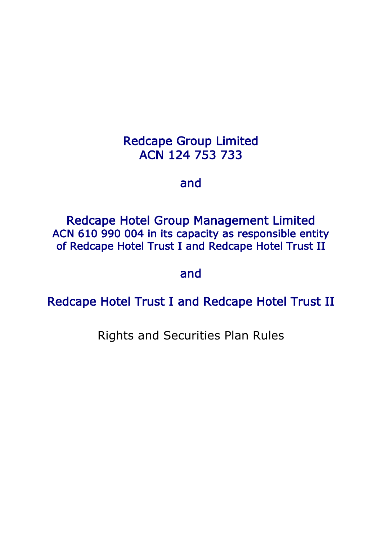# Redcape Group Limited ACN 124 753 733

# and

Redcape Hotel Group Management Limited ACN 610 990 004 in its capacity as responsible entity of Redcape Hotel Trust I and Redcape Hotel Trust II

## and

Redcape Hotel Trust I and Redcape Hotel Trust II

Rights and Securities Plan Rules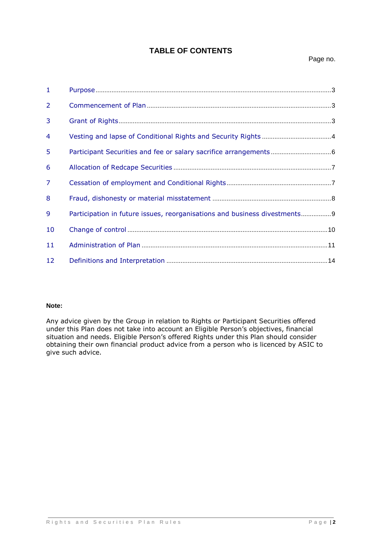## **TABLE OF CONTENTS**

| $\mathbf{1}$ |                                                                           |
|--------------|---------------------------------------------------------------------------|
| 2            |                                                                           |
| 3            |                                                                           |
| 4            |                                                                           |
| 5            |                                                                           |
| 6            |                                                                           |
| 7            |                                                                           |
| 8            |                                                                           |
| 9            | Participation in future issues, reorganisations and business divestments9 |
| 10           |                                                                           |
| 11           |                                                                           |
| 12           |                                                                           |
|              |                                                                           |

## **Note:**

Any advice given by the Group in relation to Rights or Participant Securities offered under this Plan does not take into account an Eligible Person's objectives, financial situation and needs. Eligible Person's offered Rights under this Plan should consider obtaining their own financial product advice from a person who is licenced by ASIC to give such advice.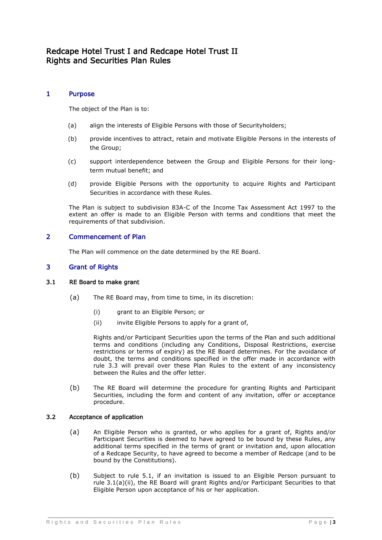## Redcape Hotel Trust I and Redcape Hotel Trust II Rights and Securities Plan Rules

## 1 Purpose

The object of the Plan is to:

- (a) align the interests of Eligible Persons with those of Securityholders;
- (b) provide incentives to attract, retain and motivate Eligible Persons in the interests of the Group;
- (c) support interdependence between the Group and Eligible Persons for their longterm mutual benefit; and
- (d) provide Eligible Persons with the opportunity to acquire Rights and Participant Securities in accordance with these Rules.

The Plan is subject to subdivision 83A-C of the Income Tax Assessment Act 1997 to the extent an offer is made to an Eligible Person with terms and conditions that meet the requirements of that subdivision.

## 2 Commencement of Plan

The Plan will commence on the date determined by the RE Board.

## 3 Grant of Rights

## <span id="page-2-1"></span>3.1 RE Board to make grant

- <span id="page-2-0"></span>(a) The RE Board may, from time to time, in its discretion:
	- (i) grant to an Eligible Person; or
	- (ii) invite Eligible Persons to apply for a grant of,

Rights and/or Participant Securities upon the terms of the Plan and such additional terms and conditions (including any Conditions, Disposal Restrictions, exercise restrictions or terms of expiry) as the RE Board determines. For the avoidance of doubt, the terms and conditions specified in the offer made in accordance with rule 3.3 will prevail over these Plan Rules to the extent of any inconsistency between the Rules and the offer letter.

(b) The RE Board will determine the procedure for granting Rights and Participant Securities, including the form and content of any invitation, offer or acceptance procedure.

## 3.2 Acceptance of application

- (a) An Eligible Person who is granted, or who applies for a grant of, Rights and/or Participant Securities is deemed to have agreed to be bound by these Rules, any additional terms specified in the terms of grant or invitation and, upon allocation of a Redcape Security, to have agreed to become a member of Redcape (and to be bound by the Constitutions).
- (b) Subject to rule [5.1,](#page-5-0) if an invitation is issued to an Eligible Person pursuant to rule [3.1\(a\)\(ii\),](#page-2-0) the RE Board will grant Rights and/or Participant Securities to that Eligible Person upon acceptance of his or her application.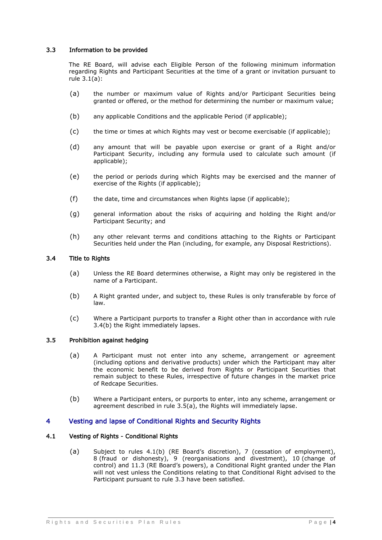## <span id="page-3-2"></span>3.3 Information to be provided

The RE Board, will advise each Eligible Person of the following minimum information regarding Rights and Participant Securities at the time of a grant or invitation pursuant to rule [3.1\(a\):](#page-2-1)

- (a) the number or maximum value of Rights and/or Participant Securities being granted or offered, or the method for determining the number or maximum value;
- (b) any applicable Conditions and the applicable Period (if applicable);
- (c) the time or times at which Rights may vest or become exercisable (if applicable);
- (d) any amount that will be payable upon exercise or grant of a Right and/or Participant Security, including any formula used to calculate such amount (if applicable);
- (e) the period or periods during which Rights may be exercised and the manner of exercise of the Rights (if applicable);
- (f) the date, time and circumstances when Rights lapse (if applicable);
- (g) general information about the risks of acquiring and holding the Right and/or Participant Security; and
- (h) any other relevant terms and conditions attaching to the Rights or Participant Securities held under the Plan (including, for example, any Disposal Restrictions).

#### <span id="page-3-3"></span>3.4 Title to Rights

- (a) Unless the RE Board determines otherwise, a Right may only be registered in the name of a Participant.
- <span id="page-3-0"></span>(b) A Right granted under, and subject to, these Rules is only transferable by force of law.
- (c) Where a Participant purports to transfer a Right other than in accordance with rule [3.4\(b\)](#page-3-0) the Right immediately lapses.

#### <span id="page-3-1"></span>3.5 Prohibition against hedging

- (a) A Participant must not enter into any scheme, arrangement or agreement (including options and derivative products) under which the Participant may alter the economic benefit to be derived from Rights or Participant Securities that remain subject to these Rules, irrespective of future changes in the market price of Redcape Securities.
- (b) Where a Participant enters, or purports to enter, into any scheme, arrangement or agreement described in rule [3.5\(a\),](#page-3-1) the Rights will immediately lapse.

## 4 Vesting and lapse of Conditional Rights and Security Rights

#### 4.1 Vesting of Rights - Conditional Rights

(a) Subject to rules [4.1\(b\)](#page-4-0) (RE Board's discretion), [7](#page-6-0) (cessation of employment), [8](#page-7-0) (fraud or dishonesty), [9](#page-8-0) (reorganisations and divestment), [10](#page-9-0) (change of control) and [11.3](#page-10-0) (RE Board's powers), a Conditional Right granted under the Plan will not vest unless the Conditions relating to that Conditional Right advised to the Participant pursuant to rule [3.3](#page-3-2) have been satisfied.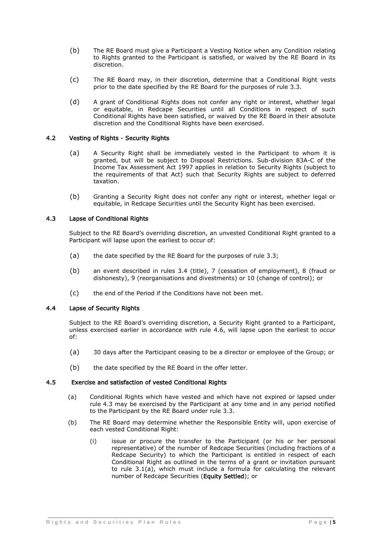- <span id="page-4-0"></span>(b) The RE Board must give a Participant a Vesting Notice when any Condition relating to Rights granted to the Participant is satisfied, or waived by the RE Board in its discretion.
- (c) The RE Board may, in their discretion, determine that a Conditional Right vests prior to the date specified by the RE Board for the purposes of rule [3.3.](#page-3-2)
- (d) A grant of Conditional Rights does not confer any right or interest, whether legal or equitable, in Redcape Securities until all Conditions in respect of such Conditional Rights have been satisfied, or waived by the RE Board in their absolute discretion and the Conditional Rights have been exercised.

## 4.2 Vesting of Rights - Security Rights

- (a) A Security Right shall be immediately vested in the Participant to whom it is granted, but will be subject to Disposal Restrictions. Sub-division 83A-C of the Income Tax Assessment Act 1997 applies in relation to Security Rights (subject to the requirements of that Act) such that Security Rights are subject to deferred taxation.
- (b) Granting a Security Right does not confer any right or interest, whether legal or equitable, in Redcape Securities until the Security Right has been exercised.

## <span id="page-4-1"></span>4.3 Lapse of Conditional Rights

Subject to the RE Board's overriding discretion, an unvested Conditional Right granted to a Participant will lapse upon the earliest to occur of:

- (a) the date specified by the RE Board for the purposes of rule [3.3;](#page-3-2)
- (b) an event described in rules [3.4](#page-3-3) (title), [7](#page-6-0) (cessation of employment), [8](#page-7-0) (fraud or dishonesty), [9](#page-8-0) (reorganisations and divestments) or [10](#page-9-0) (change of control); or
- (c) the end of the Period if the Conditions have not been met.

#### 4.4 Lapse of Security Rights

Subject to the RE Board's overriding discretion, a Security Right granted to a Participant, unless exercised earlier in accordance with rule [4.6,](#page-5-1) will lapse upon the earliest to occur of:

- (a) 30 days after the Participant ceasing to be a director or employee of the Group; or
- <span id="page-4-2"></span>(b) the date specified by the RE Board in the offer letter.

#### 4.5 Exercise and satisfaction of vested Conditional Rights

- (a) Conditional Rights which have vested and which have not expired or lapsed under rule [4.3](#page-4-1) may be exercised by the Participant at any time and in any period notified to the Participant by the RE Board under rule [3.3.](#page-3-2)
- (b) The RE Board may determine whether the Responsible Entity will, upon exercise of each vested Conditional Right:
	- (i) issue or procure the transfer to the Participant (or his or her personal representative) of the number of Redcape Securities (including fractions of a Redcape Security) to which the Participant is entitled in respect of each Conditional Right as outlined in the terms of a grant or invitation pursuant to rule [3.1\(a\),](#page-2-1) which must include a formula for calculating the relevant number of Redcape Securities (Equity Settled); or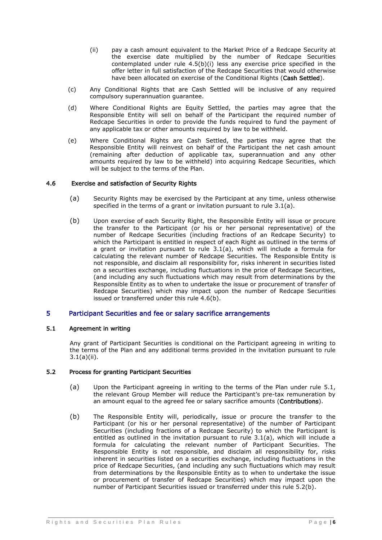- (ii) pay a cash amount equivalent to the Market Price of a Redcape Security at the exercise date multiplied by the number of Redcape Securities contemplated under rule [4.5\(](#page-4-2)b)(i) less any exercise price specified in the offer letter in full satisfaction of the Redcape Securities that would otherwise have been allocated on exercise of the Conditional Rights (Cash Settled).
- (c) Any Conditional Rights that are Cash Settled will be inclusive of any required compulsory superannuation guarantee.
- (d) Where Conditional Rights are Equity Settled, the parties may agree that the Responsible Entity will sell on behalf of the Participant the required number of Redcape Securities in order to provide the funds required to fund the payment of any applicable tax or other amounts required by law to be withheld.
- (e) Where Conditional Rights are Cash Settled, the parties may agree that the Responsible Entity will reinvest on behalf of the Participant the net cash amount (remaining after deduction of applicable tax, superannuation and any other amounts required by law to be withheld) into acquiring Redcape Securities, which will be subject to the terms of the Plan.

#### 4.6 Exercise and satisfaction of Security Rights

- <span id="page-5-1"></span>(a) Security Rights may be exercised by the Participant at any time, unless otherwise specified in the terms of a grant or invitation pursuant to rule [3.1\(a\).](#page-2-1)
- (b) Upon exercise of each Security Right, the Responsible Entity will issue or procure the transfer to the Participant (or his or her personal representative) of the number of Redcape Securities (including fractions of an Redcape Security) to which the Participant is entitled in respect of each Right as outlined in the terms of a grant or invitation pursuant to rule [3.1\(a\),](#page-2-1) which will include a formula for calculating the relevant number of Redcape Securities. The Responsible Entity is not responsible, and disclaim all responsibility for, risks inherent in securities listed on a securities exchange, including fluctuations in the price of Redcape Securities, (and including any such fluctuations which may result from determinations by the Responsible Entity as to when to undertake the issue or procurement of transfer of Redcape Securities) which may impact upon the number of Redcape Securities issued or transferred under this rule 4.6(b).

## 5 Participant Securities and fee or salary sacrifice arrangements

## <span id="page-5-0"></span>5.1 Agreement in writing

Any grant of Participant Securities is conditional on the Participant agreeing in writing to the terms of the Plan and any additional terms provided in the invitation pursuant to rule [3.1\(a\)\(ii\).](#page-2-0)

## 5.2 Process for granting Participant Securities

- (a) Upon the Participant agreeing in writing to the terms of the Plan under rule [5.1,](#page-5-0) the relevant Group Member will reduce the Participant's pre-tax remuneration by an amount equal to the agreed fee or salary sacrifice amounts (Contributions).
- <span id="page-5-2"></span>(b) The Responsible Entity will, periodically, issue or procure the transfer to the Participant (or his or her personal representative) of the number of Participant Securities (including fractions of a Redcape Security) to which the Participant is entitled as outlined in the invitation pursuant to rule [3.1\(a\),](#page-2-1) which will include a formula for calculating the relevant number of Participant Securities. The Responsible Entity is not responsible, and disclaim all responsibility for, risks inherent in securities listed on a securities exchange, including fluctuations in the price of Redcape Securities, (and including any such fluctuations which may result from determinations by the Responsible Entity as to when to undertake the issue or procurement of transfer of Redcape Securities) which may impact upon the number of Participant Securities issued or transferred under this rule 5.2(b).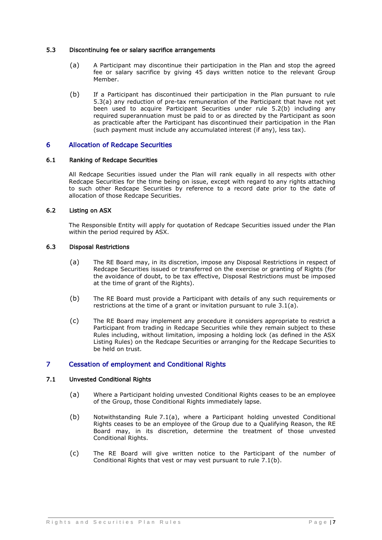## <span id="page-6-1"></span>5.3 Discontinuing fee or salary sacrifice arrangements

- (a) A Participant may discontinue their participation in the Plan and stop the agreed fee or salary sacrifice by giving 45 days written notice to the relevant Group Member.
- (b) If a Participant has discontinued their participation in the Plan pursuant to rule [5.3\(a\)](#page-6-1) any reduction of pre-tax remuneration of the Participant that have not yet been used to acquire Participant Securities under rule [5.2\(b\)](#page-5-2) including any required superannuation must be paid to or as directed by the Participant as soon as practicable after the Participant has discontinued their participation in the Plan (such payment must include any accumulated interest (if any), less tax).

## 6 Allocation of Redcape Securities

## 6.1 Ranking of Redcape Securities

All Redcape Securities issued under the Plan will rank equally in all respects with other Redcape Securities for the time being on issue, except with regard to any rights attaching to such other Redcape Securities by reference to a record date prior to the date of allocation of those Redcape Securities.

## 6.2 Listing on ASX

The Responsible Entity will apply for quotation of Redcape Securities issued under the Plan within the period required by ASX.

## 6.3 Disposal Restrictions

- (a) The RE Board may, in its discretion, impose any Disposal Restrictions in respect of Redcape Securities issued or transferred on the exercise or granting of Rights (for the avoidance of doubt, to be tax effective, Disposal Restrictions must be imposed at the time of grant of the Rights).
- (b) The RE Board must provide a Participant with details of any such requirements or restrictions at the time of a grant or invitation pursuant to rule [3.1\(a\).](#page-2-1)
- (c) The RE Board may implement any procedure it considers appropriate to restrict a Participant from trading in Redcape Securities while they remain subject to these Rules including, without limitation, imposing a holding lock (as defined in the ASX Listing Rules) on the Redcape Securities or arranging for the Redcape Securities to be held on trust.

## <span id="page-6-0"></span>7 Cessation of employment and Conditional Rights

## <span id="page-6-2"></span>7.1 Unvested Conditional Rights

- (a) Where a Participant holding unvested Conditional Rights ceases to be an employee of the Group, those Conditional Rights immediately lapse.
- <span id="page-6-3"></span>(b) Notwithstanding Rule [7.1\(a\),](#page-6-2) where a Participant holding unvested Conditional Rights ceases to be an employee of the Group due to a Qualifying Reason, the RE Board may, in its discretion, determine the treatment of those unvested Conditional Rights.
- (c) The RE Board will give written notice to the Participant of the number of Conditional Rights that vest or may vest pursuant to rule [7.1\(b\).](#page-6-3)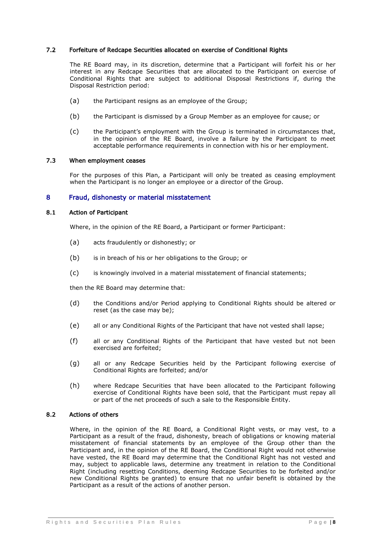## 7.2 Forfeiture of Redcape Securities allocated on exercise of Conditional Rights

The RE Board may, in its discretion, determine that a Participant will forfeit his or her interest in any Redcape Securities that are allocated to the Participant on exercise of Conditional Rights that are subject to additional Disposal Restrictions if, during the Disposal Restriction period:

- (a) the Participant resigns as an employee of the Group;
- (b) the Participant is dismissed by a Group Member as an employee for cause; or
- (c) the Participant's employment with the Group is terminated in circumstances that, in the opinion of the RE Board, involve a failure by the Participant to meet acceptable performance requirements in connection with his or her employment.

#### 7.3 When employment ceases

For the purposes of this Plan, a Participant will only be treated as ceasing employment when the Participant is no longer an employee or a director of the Group.

#### <span id="page-7-0"></span>8 Fraud, dishonesty or material misstatement

#### 8.1 Action of Participant

Where, in the opinion of the RE Board, a Participant or former Participant:

- (a) acts fraudulently or dishonestly; or
- (b) is in breach of his or her obligations to the Group; or
- (c) is knowingly involved in a material misstatement of financial statements;

then the RE Board may determine that:

- (d) the Conditions and/or Period applying to Conditional Rights should be altered or reset (as the case may be);
- (e) all or any Conditional Rights of the Participant that have not vested shall lapse;
- (f) all or any Conditional Rights of the Participant that have vested but not been exercised are forfeited;
- (g) all or any Redcape Securities held by the Participant following exercise of Conditional Rights are forfeited; and/or
- (h) where Redcape Securities that have been allocated to the Participant following exercise of Conditional Rights have been sold, that the Participant must repay all or part of the net proceeds of such a sale to the Responsible Entity.

#### 8.2 Actions of others

Where, in the opinion of the RE Board, a Conditional Right vests, or may vest, to a Participant as a result of the fraud, dishonesty, breach of obligations or knowing material misstatement of financial statements by an employee of the Group other than the Participant and, in the opinion of the RE Board, the Conditional Right would not otherwise have vested, the RE Board may determine that the Conditional Right has not vested and may, subject to applicable laws, determine any treatment in relation to the Conditional Right (including resetting Conditions, deeming Redcape Securities to be forfeited and/or new Conditional Rights be granted) to ensure that no unfair benefit is obtained by the Participant as a result of the actions of another person.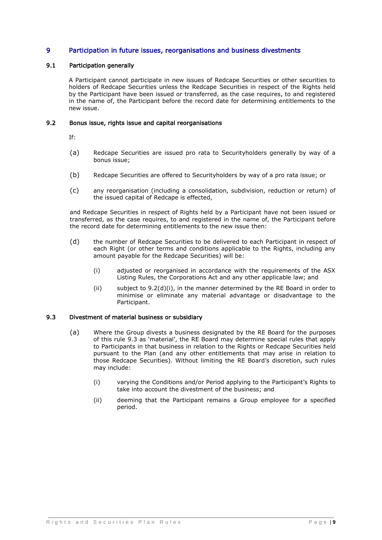## <span id="page-8-0"></span>9 Participation in future issues, reorganisations and business divestments

## 9.1 Participation generally

A Participant cannot participate in new issues of Redcape Securities or other securities to holders of Redcape Securities unless the Redcape Securities in respect of the Rights held by the Participant have been issued or transferred, as the case requires, to and registered in the name of, the Participant before the record date for determining entitlements to the new issue.

#### 9.2 Bonus issue, rights issue and capital reorganisations

If:

- (a) Redcape Securities are issued pro rata to Securityholders generally by way of a bonus issue;
- (b) Redcape Securities are offered to Securityholders by way of a pro rata issue; or
- (c) any reorganisation (including a consolidation, subdivision, reduction or return) of the issued capital of Redcape is effected,

and Redcape Securities in respect of Rights held by a Participant have not been issued or transferred, as the case requires, to and registered in the name of, the Participant before the record date for determining entitlements to the new issue then:

- <span id="page-8-1"></span>(d) the number of Redcape Securities to be delivered to each Participant in respect of each Right (or other terms and conditions applicable to the Rights, including any amount payable for the Redcape Securities) will be:
	- (i) adjusted or reorganised in accordance with the requirements of the ASX Listing Rules, the Corporations Act and any other applicable law; and
	- (ii) subject to  $9.2(d)(i)$ , in the manner determined by the RE Board in order to minimise or eliminate any material advantage or disadvantage to the Participant.

#### <span id="page-8-2"></span>9.3 Divestment of material business or subsidiary

- (a) Where the Group divests a business designated by the RE Board for the purposes of this rule [9.3](#page-8-2) as 'material', the RE Board may determine special rules that apply to Participants in that business in relation to the Rights or Redcape Securities held pursuant to the Plan (and any other entitlements that may arise in relation to those Redcape Securities). Without limiting the RE Board's discretion, such rules may include:
	- (i) varying the Conditions and/or Period applying to the Participant's Rights to take into account the divestment of the business; and
	- (ii) deeming that the Participant remains a Group employee for a specified period.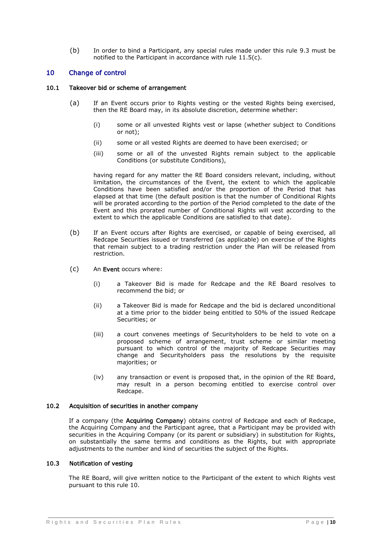(b) In order to bind a Participant, any special rules made under this rule [9.3](#page-8-2) must be notified to the Participant in accordance with rule [11.5\(c\).](#page-11-0)

## <span id="page-9-0"></span>10 Change of control

#### 10.1 Takeover bid or scheme of arrangement

- (a) If an Event occurs prior to Rights vesting or the vested Rights being exercised, then the RE Board may, in its absolute discretion, determine whether:
	- (i) some or all unvested Rights vest or lapse (whether subject to Conditions or not);
	- (ii) some or all vested Rights are deemed to have been exercised; or
	- (iii) some or all of the unvested Rights remain subject to the applicable Conditions (or substitute Conditions),

having regard for any matter the RE Board considers relevant, including, without limitation, the circumstances of the Event, the extent to which the applicable Conditions have been satisfied and/or the proportion of the Period that has elapsed at that time (the default position is that the number of Conditional Rights will be prorated according to the portion of the Period completed to the date of the Event and this prorated number of Conditional Rights will vest according to the extent to which the applicable Conditions are satisfied to that date).

- (b) If an Event occurs after Rights are exercised, or capable of being exercised, all Redcape Securities issued or transferred (as applicable) on exercise of the Rights that remain subject to a trading restriction under the Plan will be released from restriction.
- (c) An Event occurs where:
	- (i) a Takeover Bid is made for Redcape and the RE Board resolves to recommend the bid; or
	- (ii) a Takeover Bid is made for Redcape and the bid is declared unconditional at a time prior to the bidder being entitled to 50% of the issued Redcape Securities; or
	- (iii) a court convenes meetings of Securityholders to be held to vote on a proposed scheme of arrangement, trust scheme or similar meeting pursuant to which control of the majority of Redcape Securities may change and Securityholders pass the resolutions by the requisite majorities; or
	- (iv) any transaction or event is proposed that, in the opinion of the RE Board, may result in a person becoming entitled to exercise control over Redcape.

#### 10.2 Acquisition of securities in another company

If a company (the Acquiring Company) obtains control of Redcape and each of Redcape, the Acquiring Company and the Participant agree, that a Participant may be provided with securities in the Acquiring Company (or its parent or subsidiary) in substitution for Rights, on substantially the same terms and conditions as the Rights, but with appropriate adjustments to the number and kind of securities the subject of the Rights.

#### 10.3 Notification of vesting

The RE Board, will give written notice to the Participant of the extent to which Rights vest pursuant to this rule [10.](#page-9-0)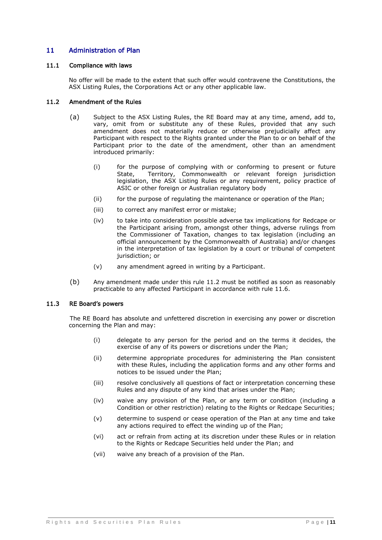## 11 Administration of Plan

## 11.1 Compliance with laws

No offer will be made to the extent that such offer would contravene the Constitutions, the ASX Listing Rules, the Corporations Act or any other applicable law.

## <span id="page-10-1"></span>11.2 Amendment of the Rules

- (a) Subject to the ASX Listing Rules, the RE Board may at any time, amend, add to, vary, omit from or substitute any of these Rules, provided that any such amendment does not materially reduce or otherwise prejudicially affect any Participant with respect to the Rights granted under the Plan to or on behalf of the Participant prior to the date of the amendment, other than an amendment introduced primarily:
	- (i) for the purpose of complying with or conforming to present or future State, Territory, Commonwealth or relevant foreign jurisdiction legislation, the ASX Listing Rules or any requirement, policy practice of ASIC or other foreign or Australian regulatory body
	- (ii) for the purpose of regulating the maintenance or operation of the Plan;
	- (iii) to correct any manifest error or mistake;
	- (iv) to take into consideration possible adverse tax implications for Redcape or the Participant arising from, amongst other things, adverse rulings from the Commissioner of Taxation, changes to tax legislation (including an official announcement by the Commonwealth of Australia) and/or changes in the interpretation of tax legislation by a court or tribunal of competent jurisdiction; or
	- (v) any amendment agreed in writing by a Participant.
- (b) Any amendment made under this rule [11.2](#page-10-1) must be notified as soon as reasonably practicable to any affected Participant in accordance with rule [11.6.](#page-11-1)

#### <span id="page-10-0"></span>11.3 RE Board's powers

The RE Board has absolute and unfettered discretion in exercising any power or discretion concerning the Plan and may:

- (i) delegate to any person for the period and on the terms it decides, the exercise of any of its powers or discretions under the Plan;
- (ii) determine appropriate procedures for administering the Plan consistent with these Rules, including the application forms and any other forms and notices to be issued under the Plan;
- (iii) resolve conclusively all questions of fact or interpretation concerning these Rules and any dispute of any kind that arises under the Plan;
- (iv) waive any provision of the Plan, or any term or condition (including a Condition or other restriction) relating to the Rights or Redcape Securities;
- (v) determine to suspend or cease operation of the Plan at any time and take any actions required to effect the winding up of the Plan;
- (vi) act or refrain from acting at its discretion under these Rules or in relation to the Rights or Redcape Securities held under the Plan; and
- (vii) waive any breach of a provision of the Plan.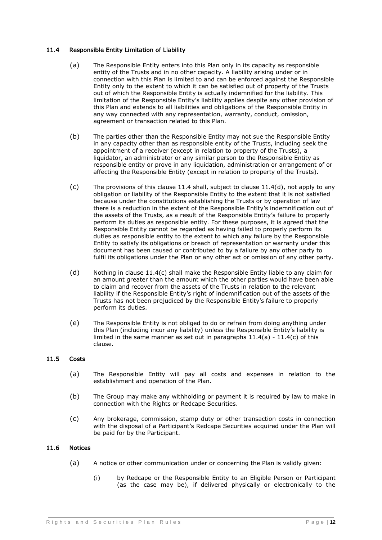## <span id="page-11-5"></span><span id="page-11-2"></span>11.4 Responsible Entity Limitation of Liability

- (a) The Responsible Entity enters into this Plan only in its capacity as responsible entity of the Trusts and in no other capacity. A liability arising under or in connection with this Plan is limited to and can be enforced against the Responsible Entity only to the extent to which it can be satisfied out of property of the Trusts out of which the Responsible Entity is actually indemnified for the liability. This limitation of the Responsible Entity's liability applies despite any other provision of this Plan and extends to all liabilities and obligations of the Responsible Entity in any way connected with any representation, warranty, conduct, omission, agreement or transaction related to this Plan.
- (b) The parties other than the Responsible Entity may not sue the Responsible Entity in any capacity other than as responsible entity of the Trusts, including seek the appointment of a receiver (except in relation to property of the Trusts), a liquidator, an administrator or any similar person to the Responsible Entity as responsible entity or prove in any liquidation, administration or arrangement of or affecting the Responsible Entity (except in relation to property of the Trusts).
- <span id="page-11-4"></span> $(c)$  The provisions of this clause [11.4](#page-11-2) shall, subject to clause [11.4\(d\),](#page-11-3) not apply to any obligation or liability of the Responsible Entity to the extent that it is not satisfied because under the constitutions establishing the Trusts or by operation of law there is a reduction in the extent of the Responsible Entity's indemnification out of the assets of the Trusts, as a result of the Responsible Entity's failure to properly perform its duties as responsible entity. For these purposes, it is agreed that the Responsible Entity cannot be regarded as having failed to properly perform its duties as responsible entity to the extent to which any failure by the Responsible Entity to satisfy its obligations or breach of representation or warranty under this document has been caused or contributed to by a failure by any other party to fulfil its obligations under the Plan or any other act or omission of any other party.
- <span id="page-11-3"></span>(d) Nothing in clause [11.4\(c\)](#page-11-4) shall make the Responsible Entity liable to any claim for an amount greater than the amount which the other parties would have been able to claim and recover from the assets of the Trusts in relation to the relevant liability if the Responsible Entity's right of indemnification out of the assets of the Trusts has not been prejudiced by the Responsible Entity's failure to properly perform its duties.
- (e) The Responsible Entity is not obliged to do or refrain from doing anything under this Plan (including incur any liability) unless the Responsible Entity's liability is limited in the same manner as set out in paragraphs  $11.4(a)$  -  $11.4(c)$  of this clause.

## 11.5 Costs

- (a) The Responsible Entity will pay all costs and expenses in relation to the establishment and operation of the Plan.
- (b) The Group may make any withholding or payment it is required by law to make in connection with the Rights or Redcape Securities.
- <span id="page-11-0"></span>(c) Any brokerage, commission, stamp duty or other transaction costs in connection with the disposal of a Participant's Redcape Securities acquired under the Plan will be paid for by the Participant.

## <span id="page-11-1"></span>11.6 Notices

- (a) A notice or other communication under or concerning the Plan is validly given:
	- (i) by Redcape or the Responsible Entity to an Eligible Person or Participant (as the case may be), if delivered physically or electronically to the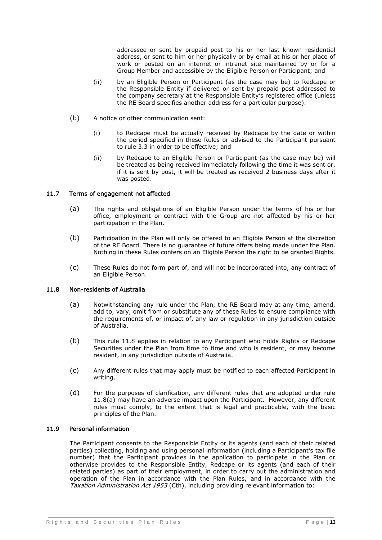addressee or sent by prepaid post to his or her last known residential address, or sent to him or her physically or by email at his or her place of work or posted on an internet or intranet site maintained by or for a Group Member and accessible by the Eligible Person or Participant; and

- (ii) by an Eligible Person or Participant (as the case may be) to Redcape or the Responsible Entity if delivered or sent by prepaid post addressed to the company secretary at the Responsible Entity's registered office (unless the RE Board specifies another address for a particular purpose).
- (b) A notice or other communication sent:
	- (i) to Redcape must be actually received by Redcape by the date or within the period specified in these Rules or advised to the Participant pursuant to rule [3.3](#page-3-2) in order to be effective; and
	- (ii) by Redcape to an Eligible Person or Participant (as the case may be) will be treated as being received immediately following the time it was sent or, if it is sent by post, it will be treated as received 2 business days after it was posted.

## 11.7 Terms of engagement not affected

- (a) The rights and obligations of an Eligible Person under the terms of his or her office, employment or contract with the Group are not affected by his or her participation in the Plan.
- (b) Participation in the Plan will only be offered to an Eligible Person at the discretion of the RE Board. There is no guarantee of future offers being made under the Plan. Nothing in these Rules confers on an Eligible Person the right to be granted Rights.
- (c) These Rules do not form part of, and will not be incorporated into, any contract of an Eligible Person.

#### <span id="page-12-1"></span><span id="page-12-0"></span>11.8 Non-residents of Australia

- (a) Notwithstanding any rule under the Plan, the RE Board may at any time, amend, add to, vary, omit from or substitute any of these Rules to ensure compliance with the requirements of, or impact of, any law or regulation in any jurisdiction outside of Australia.
- (b) This rule [11.8](#page-12-0) applies in relation to any Participant who holds Rights or Redcape Securities under the Plan from time to time and who is resident, or may become resident, in any jurisdiction outside of Australia.
- (c) Any different rules that may apply must be notified to each affected Participant in writing.
- (d) For the purposes of clarification, any different rules that are adopted under rule [11.8\(a\)](#page-12-1) may have an adverse impact upon the Participant. However, any different rules must comply, to the extent that is legal and practicable, with the basic principles of the Plan.

## 11.9 Personal information

The Participant consents to the Responsible Entity or its agents (and each of their related parties) collecting, holding and using personal information (including a Participant's tax file number) that the Participant provides in the application to participate in the Plan or otherwise provides to the Responsible Entity, Redcape or its agents (and each of their related parties) as part of their employment, in order to carry out the administration and operation of the Plan in accordance with the Plan Rules, and in accordance with the Taxation Administration Act 1953 (Cth), including providing relevant information to: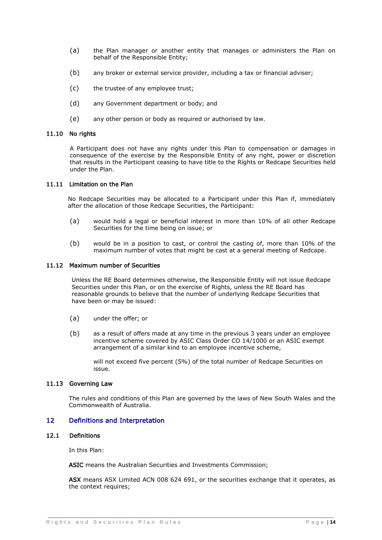- (a) the Plan manager or another entity that manages or administers the Plan on behalf of the Responsible Entity;
- (b) any broker or external service provider, including a tax or financial adviser;
- (c) the trustee of any employee trust;
- (d) any Government department or body; and
- (e) any other person or body as required or authorised by law.

#### 11.10 No rights

A Participant does not have any rights under this Plan to compensation or damages in consequence of the exercise by the Responsible Entity of any right, power or discretion that results in the Participant ceasing to have title to the Rights or Redcape Securities held under the Plan.

#### 11.11 Limitation on the Plan

No Redcape Securities may be allocated to a Participant under this Plan if, immediately after the allocation of those Redcape Securities, the Participant:

- (a) would hold a legal or beneficial interest in more than 10% of all other Redcape Securities for the time being on issue; or
- (b) would be in a position to cast, or control the casting of, more than 10% of the maximum number of votes that might be cast at a general meeting of Redcape.

#### 11.12 Maximum number of Securities

Unless the RE Board determines otherwise, the Responsible Entity will not issue Redcape Securities under this Plan, or on the exercise of Rights, unless the RE Board has reasonable grounds to believe that the number of underlying Redcape Securities that have been or may be issued:

- (a) under the offer; or
- (b) as a result of offers made at any time in the previous 3 years under an employee incentive scheme covered by ASIC Class Order CO 14/1000 or an ASIC exempt arrangement of a similar kind to an employee incentive scheme,

will not exceed five percent (5%) of the total number of Redcape Securities on issue.

#### 11.13 Governing Law

The rules and conditions of this Plan are governed by the laws of New South Wales and the Commonwealth of Australia.

## 12 Definitions and Interpretation

#### 12.1 Definitions

In this Plan:

ASIC means the Australian Securities and Investments Commission;

ASX means ASX Limited ACN 008 624 691, or the securities exchange that it operates, as the context requires: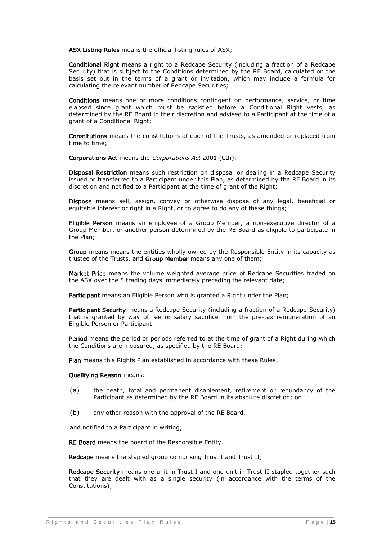ASX Listing Rules means the official listing rules of ASX;

Conditional Right means a right to a Redcape Security (including a fraction of a Redcape Security) that is subject to the Conditions determined by the RE Board, calculated on the basis set out in the terms of a grant or invitation, which may include a formula for calculating the relevant number of Redcape Securities;

Conditions means one or more conditions contingent on performance, service, or time elapsed since grant which must be satisfied before a Conditional Right vests, as determined by the RE Board in their discretion and advised to a Participant at the time of a grant of a Conditional Right;

Constitutions means the constitutions of each of the Trusts, as amended or replaced from time to time;

Corporations Act means the Corporations Act 2001 (Cth);

Disposal Restriction means such restriction on disposal or dealing in a Redcape Security issued or transferred to a Participant under this Plan, as determined by the RE Board in its discretion and notified to a Participant at the time of grant of the Right;

Dispose means sell, assign, convey or otherwise dispose of any legal, beneficial or equitable interest or right in a Right, or to agree to do any of these things;

Eligible Person means an employee of a Group Member, a non-executive director of a Group Member, or another person determined by the RE Board as eligible to participate in the Plan;

Group means means the entities wholly owned by the Responsible Entity in its capacity as trustee of the Trusts, and Group Member means any one of them;

Market Price means the volume weighted average price of Redcape Securities traded on the ASX over the 5 trading days immediately preceding the relevant date;

Participant means an Eligible Person who is granted a Right under the Plan:

Participant Security means a Redcape Security (including a fraction of a Redcape Security) that is granted by way of fee or salary sacrifice from the pre-tax remuneration of an Eligible Person or Participant

Period means the period or periods referred to at the time of grant of a Right during which the Conditions are measured, as specified by the RE Board;

Plan means this Rights Plan established in accordance with these Rules;

#### Qualifying Reason means:

- (a) the death, total and permanent disablement, retirement or redundancy of the Participant as determined by the RE Board in its absolute discretion; or
- (b) any other reason with the approval of the RE Board,

and notified to a Participant in writing;

RE Board means the board of the Responsible Entity.

Redcape means the stapled group comprising Trust I and Trust II;

Redcape Security means one unit in Trust I and one unit in Trust II stapled together such that they are dealt with as a single security (in accordance with the terms of the Constitutions);